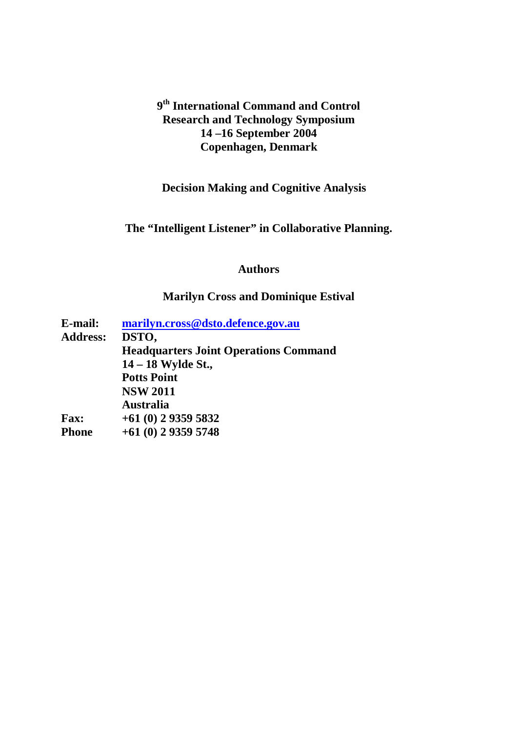**9 th International Command and Control Research and Technology Symposium 14 –16 September 2004 Copenhagen, Denmark** 

# **Decision Making and Cognitive Analysis**

**The "Intelligent Listener" in Collaborative Planning.** 

# **Authors**

# **Marilyn Cross and Dominique Estival**

| E-mail:         | marilyn.cross@dsto.defence.gov.au            |
|-----------------|----------------------------------------------|
| <b>Address:</b> | DSTO,                                        |
|                 | <b>Headquarters Joint Operations Command</b> |
|                 | 14 - 18 Wylde St.,                           |
|                 | <b>Potts Point</b>                           |
|                 | <b>NSW 2011</b>                              |
|                 | <b>Australia</b>                             |
| <b>Fax:</b>     | $+61(0)$ 2 9359 5832                         |
| <b>Phone</b>    | $+61(0)$ 2 9359 5748                         |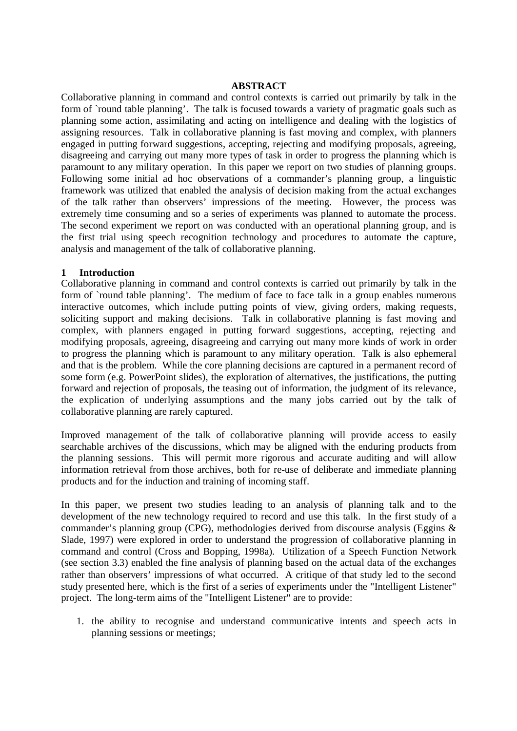#### **ABSTRACT**

Collaborative planning in command and control contexts is carried out primarily by talk in the form of `round table planning'. The talk is focused towards a variety of pragmatic goals such as planning some action, assimilating and acting on intelligence and dealing with the logistics of assigning resources. Talk in collaborative planning is fast moving and complex, with planners engaged in putting forward suggestions, accepting, rejecting and modifying proposals, agreeing, disagreeing and carrying out many more types of task in order to progress the planning which is paramount to any military operation. In this paper we report on two studies of planning groups. Following some initial ad hoc observations of a commander's planning group, a linguistic framework was utilized that enabled the analysis of decision making from the actual exchanges of the talk rather than observers' impressions of the meeting. However, the process was extremely time consuming and so a series of experiments was planned to automate the process. The second experiment we report on was conducted with an operational planning group, and is the first trial using speech recognition technology and procedures to automate the capture, analysis and management of the talk of collaborative planning.

#### **1 Introduction**

Collaborative planning in command and control contexts is carried out primarily by talk in the form of `round table planning'. The medium of face to face talk in a group enables numerous interactive outcomes, which include putting points of view, giving orders, making requests, soliciting support and making decisions. Talk in collaborative planning is fast moving and complex, with planners engaged in putting forward suggestions, accepting, rejecting and modifying proposals, agreeing, disagreeing and carrying out many more kinds of work in order to progress the planning which is paramount to any military operation. Talk is also ephemeral and that is the problem. While the core planning decisions are captured in a permanent record of some form (e.g. PowerPoint slides), the exploration of alternatives, the justifications, the putting forward and rejection of proposals, the teasing out of information, the judgment of its relevance, the explication of underlying assumptions and the many jobs carried out by the talk of collaborative planning are rarely captured.

Improved management of the talk of collaborative planning will provide access to easily searchable archives of the discussions, which may be aligned with the enduring products from the planning sessions. This will permit more rigorous and accurate auditing and will allow information retrieval from those archives, both for re-use of deliberate and immediate planning products and for the induction and training of incoming staff.

In this paper, we present two studies leading to an analysis of planning talk and to the development of the new technology required to record and use this talk. In the first study of a commander's planning group (CPG), methodologies derived from discourse analysis (Eggins & Slade, 1997) were explored in order to understand the progression of collaborative planning in command and control (Cross and Bopping, 1998a). Utilization of a Speech Function Network (see section 3.3) enabled the fine analysis of planning based on the actual data of the exchanges rather than observers' impressions of what occurred. A critique of that study led to the second study presented here, which is the first of a series of experiments under the "Intelligent Listener" project. The long-term aims of the "Intelligent Listener" are to provide:

1. the ability to recognise and understand communicative intents and speech acts in planning sessions or meetings;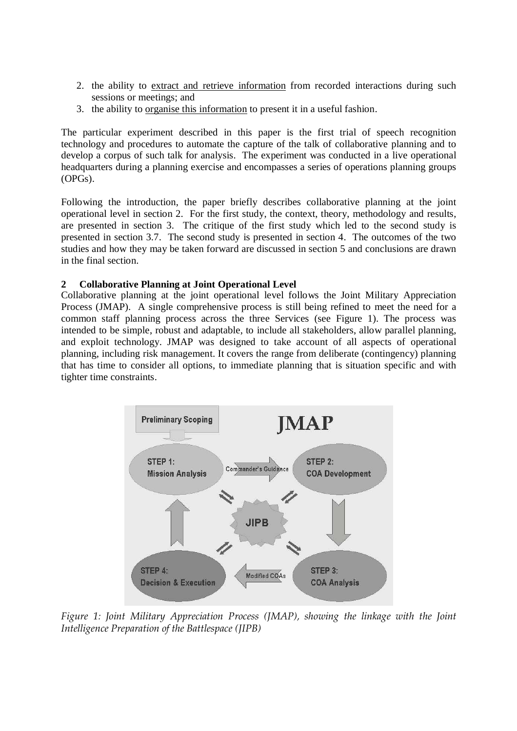- 2. the ability to extract and retrieve information from recorded interactions during such sessions or meetings; and
- 3. the ability to organise this information to present it in a useful fashion.

The particular experiment described in this paper is the first trial of speech recognition technology and procedures to automate the capture of the talk of collaborative planning and to develop a corpus of such talk for analysis. The experiment was conducted in a live operational headquarters during a planning exercise and encompasses a series of operations planning groups (OPGs).

Following the introduction, the paper briefly describes collaborative planning at the joint operational level in section 2. For the first study, the context, theory, methodology and results, are presented in section 3. The critique of the first study which led to the second study is presented in section 3.7. The second study is presented in section 4. The outcomes of the two studies and how they may be taken forward are discussed in section 5 and conclusions are drawn in the final section.

## **2 Collaborative Planning at Joint Operational Level**

Collaborative planning at the joint operational level follows the Joint Military Appreciation Process (JMAP). A single comprehensive process is still being refined to meet the need for a common staff planning process across the three Services (see Figure 1). The process was intended to be simple, robust and adaptable, to include all stakeholders, allow parallel planning, and exploit technology. JMAP was designed to take account of all aspects of operational planning, including risk management. It covers the range from deliberate (contingency) planning that has time to consider all options, to immediate planning that is situation specific and with tighter time constraints.



Figure 1: Joint Military Appreciation Process (JMAP), showing the linkage with the Joint Intelligence Preparation of the Battlespace (JIPB)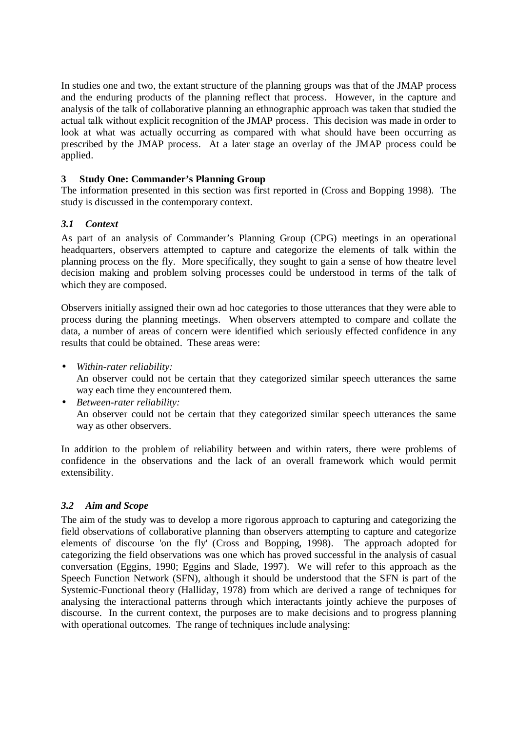In studies one and two, the extant structure of the planning groups was that of the JMAP process and the enduring products of the planning reflect that process. However, in the capture and analysis of the talk of collaborative planning an ethnographic approach was taken that studied the actual talk without explicit recognition of the JMAP process. This decision was made in order to look at what was actually occurring as compared with what should have been occurring as prescribed by the JMAP process. At a later stage an overlay of the JMAP process could be applied.

#### **3 Study One: Commander's Planning Group**

The information presented in this section was first reported in (Cross and Bopping 1998). The study is discussed in the contemporary context.

## *3.1 Context*

As part of an analysis of Commander's Planning Group (CPG) meetings in an operational headquarters, observers attempted to capture and categorize the elements of talk within the planning process on the fly. More specifically, they sought to gain a sense of how theatre level decision making and problem solving processes could be understood in terms of the talk of which they are composed.

Observers initially assigned their own ad hoc categories to those utterances that they were able to process during the planning meetings. When observers attempted to compare and collate the data, a number of areas of concern were identified which seriously effected confidence in any results that could be obtained. These areas were:

• *Within-rater reliability:*

An observer could not be certain that they categorized similar speech utterances the same way each time they encountered them.

• *Between-rater reliability:* An observer could not be certain that they categorized similar speech utterances the same way as other observers.

In addition to the problem of reliability between and within raters, there were problems of confidence in the observations and the lack of an overall framework which would permit extensibility.

#### *3.2 Aim and Scope*

The aim of the study was to develop a more rigorous approach to capturing and categorizing the field observations of collaborative planning than observers attempting to capture and categorize elements of discourse 'on the fly' (Cross and Bopping, 1998). The approach adopted for categorizing the field observations was one which has proved successful in the analysis of casual conversation (Eggins, 1990; Eggins and Slade, 1997). We will refer to this approach as the Speech Function Network (SFN), although it should be understood that the SFN is part of the Systemic-Functional theory (Halliday, 1978) from which are derived a range of techniques for analysing the interactional patterns through which interactants jointly achieve the purposes of discourse. In the current context, the purposes are to make decisions and to progress planning with operational outcomes. The range of techniques include analysing: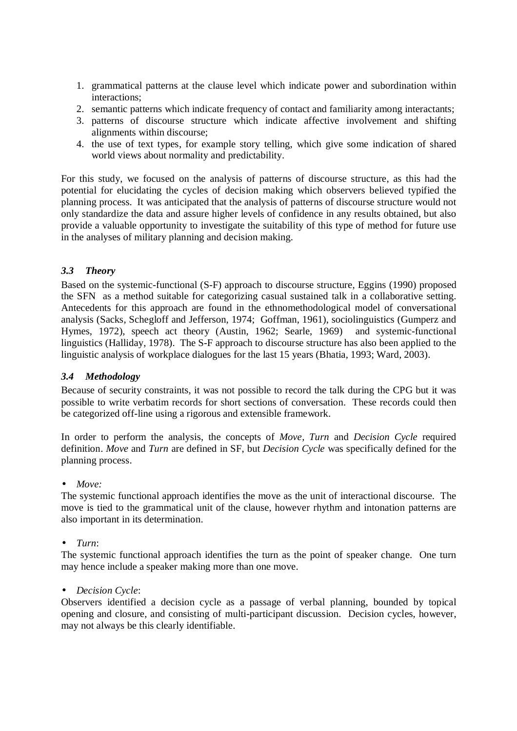- 1. grammatical patterns at the clause level which indicate power and subordination within interactions;
- 2. semantic patterns which indicate frequency of contact and familiarity among interactants;
- 3. patterns of discourse structure which indicate affective involvement and shifting alignments within discourse;
- 4. the use of text types, for example story telling, which give some indication of shared world views about normality and predictability.

For this study, we focused on the analysis of patterns of discourse structure, as this had the potential for elucidating the cycles of decision making which observers believed typified the planning process. It was anticipated that the analysis of patterns of discourse structure would not only standardize the data and assure higher levels of confidence in any results obtained, but also provide a valuable opportunity to investigate the suitability of this type of method for future use in the analyses of military planning and decision making.

## *3.3 Theory*

Based on the systemic-functional (S-F) approach to discourse structure, Eggins (1990) proposed the SFN as a method suitable for categorizing casual sustained talk in a collaborative setting. Antecedents for this approach are found in the ethnomethodological model of conversational analysis (Sacks, Schegloff and Jefferson, 1974; Goffman, 1961), sociolinguistics (Gumperz and Hymes, 1972), speech act theory (Austin, 1962; Searle, 1969) and systemic-functional linguistics (Halliday, 1978). The S-F approach to discourse structure has also been applied to the linguistic analysis of workplace dialogues for the last 15 years (Bhatia, 1993; Ward, 2003).

#### *3.4 Methodology*

Because of security constraints, it was not possible to record the talk during the CPG but it was possible to write verbatim records for short sections of conversation. These records could then be categorized off-line using a rigorous and extensible framework.

In order to perform the analysis, the concepts of *Move, Turn* and *Decision Cycle* required definition. *Move* and *Turn* are defined in SF, but *Decision Cycle* was specifically defined for the planning process.

#### • *Move:*

The systemic functional approach identifies the move as the unit of interactional discourse. The move is tied to the grammatical unit of the clause, however rhythm and intonation patterns are also important in its determination.

#### • *Turn*:

The systemic functional approach identifies the turn as the point of speaker change. One turn may hence include a speaker making more than one move.

#### • *Decision Cycle*:

Observers identified a decision cycle as a passage of verbal planning, bounded by topical opening and closure, and consisting of multi-participant discussion. Decision cycles, however, may not always be this clearly identifiable.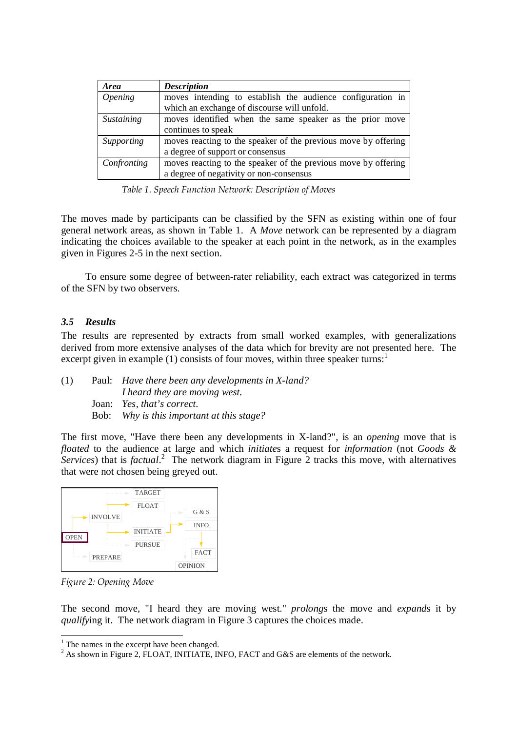| <b>Area</b>           | <b>Description</b>                                                                                        |
|-----------------------|-----------------------------------------------------------------------------------------------------------|
| <i><b>Opening</b></i> | moves intending to establish the audience configuration in<br>which an exchange of discourse will unfold. |
| <b>Sustaining</b>     | moves identified when the same speaker as the prior move                                                  |
|                       | continues to speak                                                                                        |
| <b>Supporting</b>     | moves reacting to the speaker of the previous move by offering                                            |
|                       | a degree of support or consensus                                                                          |
| Confronting           | moves reacting to the speaker of the previous move by offering                                            |
|                       | a degree of negativity or non-consensus                                                                   |

Table 1. Speech Function Network: Description of Moves

The moves made by participants can be classified by the SFN as existing within one of four general network areas, as shown in Table 1. A *Move* network can be represented by a diagram indicating the choices available to the speaker at each point in the network, as in the examples given in Figures 2-5 in the next section.

To ensure some degree of between-rater reliability, each extract was categorized in terms of the SFN by two observers.

#### *3.5 Results*

The results are represented by extracts from small worked examples, with generalizations derived from more extensive analyses of the data which for brevity are not presented here. The excerpt given in example (1) consists of four moves, within three speaker turns:

(1) Paul: *Have there been any developments in X-land? I heard they are moving west.*  Joan: *Yes, that's correct.*  Bob: *Why is this important at this stage?* 

The first move, "Have there been any developments in X-land?"*,* is an *opening* move that is *floated* to the audience at large and which *initiate*s a request for *information* (not *Goods &*  Services) that is *factual*.<sup>2</sup> The network diagram in Figure 2 tracks this move, with alternatives that were not chosen being greyed out.



Figure 2: Opening Move

The second move, "I heard they are moving west." *prolong*s the move and *expand*s it by *qualifying it.* The network diagram in Figure 3 captures the choices made.

<sup>&</sup>lt;sup>1</sup> The names in the excerpt have been changed.

 $2$  As shown in Figure 2, FLOAT, INITIATE, INFO, FACT and G&S are elements of the network.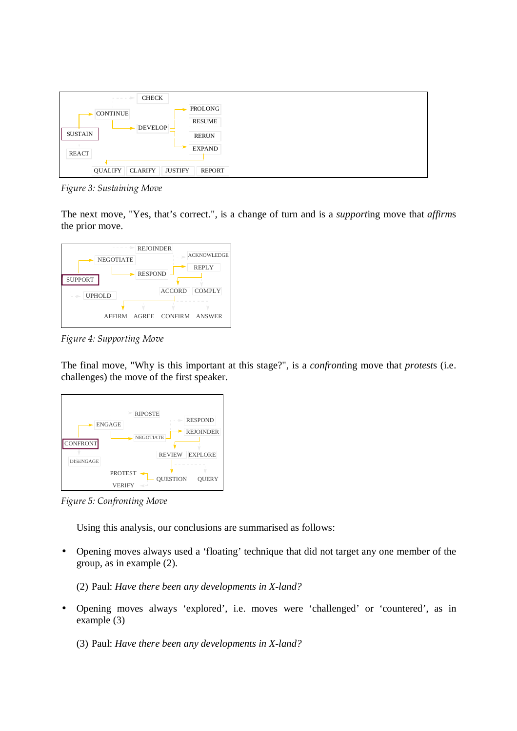

Figure 3: Sustaining Move

The next move, "Yes, that's correct."*,* is a change of turn and is a *support*ing move that *affirm*s the prior move.



Figure 4: Supporting Move

The final move, "Why is this important at this stage?", is a *confront*ing move that *protest*s (i.e. challenges) the move of the first speaker.



Figure 5: Confronting Move

Using this analysis, our conclusions are summarised as follows:

• Opening moves always used a 'floating' technique that did not target any one member of the group, as in example (2).

(2) Paul: *Have there been any developments in X-land?* 

• Opening moves always 'explored', i.e. moves were 'challenged' or 'countered', as in example (3)

(3) Paul: *Have there been any developments in X-land?*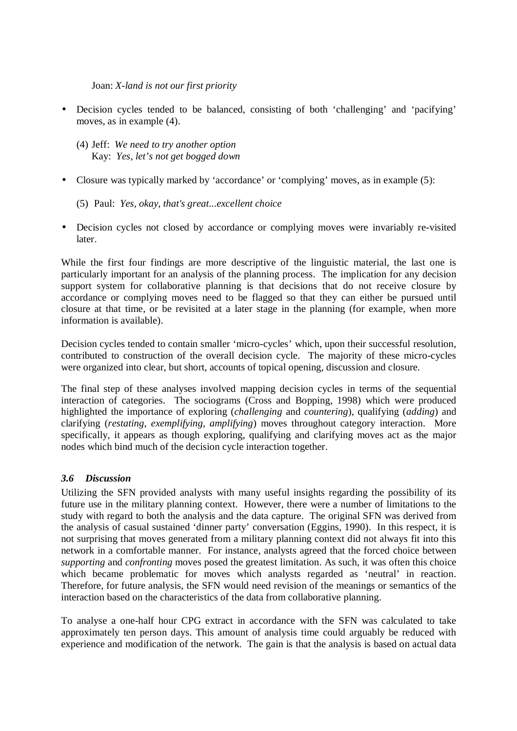Joan: *X-land is not our first priority*

- Decision cycles tended to be balanced, consisting of both 'challenging' and 'pacifying' moves, as in example (4).
	- (4) Jeff: *We need to try another option* Kay: *Yes, let's not get bogged down*
- Closure was typically marked by 'accordance' or 'complying' moves, as in example (5):
	- (5) Paul: *Yes, okay, that's great...excellent choice*
- Decision cycles not closed by accordance or complying moves were invariably re-visited later.

While the first four findings are more descriptive of the linguistic material, the last one is particularly important for an analysis of the planning process. The implication for any decision support system for collaborative planning is that decisions that do not receive closure by accordance or complying moves need to be flagged so that they can either be pursued until closure at that time, or be revisited at a later stage in the planning (for example, when more information is available).

Decision cycles tended to contain smaller 'micro-cycles' which, upon their successful resolution, contributed to construction of the overall decision cycle. The majority of these micro-cycles were organized into clear, but short, accounts of topical opening, discussion and closure.

The final step of these analyses involved mapping decision cycles in terms of the sequential interaction of categories. The sociograms (Cross and Bopping, 1998) which were produced highlighted the importance of exploring (*challenging* and *countering*), qualifying (*adding*) and clarifying (*restating*, *exemplifying*, *amplifying*) moves throughout category interaction. More specifically, it appears as though exploring, qualifying and clarifying moves act as the major nodes which bind much of the decision cycle interaction together.

#### *3.6 Discussion*

Utilizing the SFN provided analysts with many useful insights regarding the possibility of its future use in the military planning context. However, there were a number of limitations to the study with regard to both the analysis and the data capture. The original SFN was derived from the analysis of casual sustained 'dinner party' conversation (Eggins, 1990). In this respect, it is not surprising that moves generated from a military planning context did not always fit into this network in a comfortable manner. For instance, analysts agreed that the forced choice between *supporting* and *confronting* moves posed the greatest limitation. As such, it was often this choice which became problematic for moves which analysts regarded as 'neutral' in reaction. Therefore, for future analysis, the SFN would need revision of the meanings or semantics of the interaction based on the characteristics of the data from collaborative planning.

To analyse a one-half hour CPG extract in accordance with the SFN was calculated to take approximately ten person days. This amount of analysis time could arguably be reduced with experience and modification of the network. The gain is that the analysis is based on actual data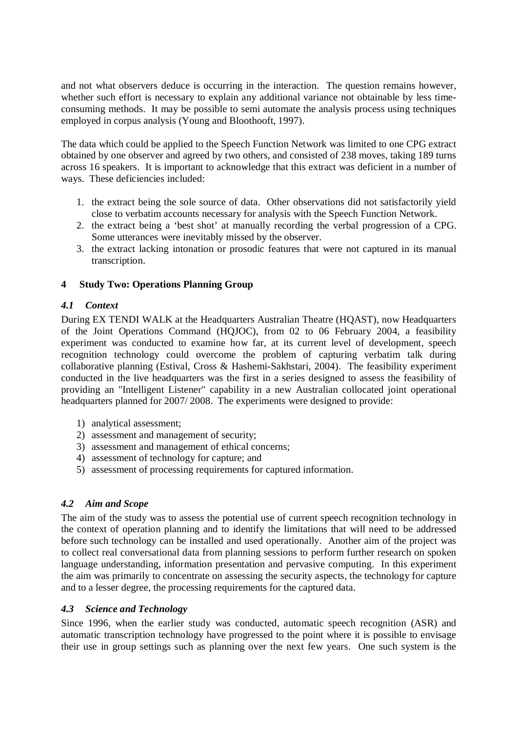and not what observers deduce is occurring in the interaction. The question remains however, whether such effort is necessary to explain any additional variance not obtainable by less timeconsuming methods. It may be possible to semi automate the analysis process using techniques employed in corpus analysis (Young and Bloothooft, 1997).

The data which could be applied to the Speech Function Network was limited to one CPG extract obtained by one observer and agreed by two others, and consisted of 238 moves, taking 189 turns across 16 speakers. It is important to acknowledge that this extract was deficient in a number of ways. These deficiencies included:

- 1. the extract being the sole source of data. Other observations did not satisfactorily yield close to verbatim accounts necessary for analysis with the Speech Function Network.
- 2. the extract being a 'best shot' at manually recording the verbal progression of a CPG. Some utterances were inevitably missed by the observer.
- 3. the extract lacking intonation or prosodic features that were not captured in its manual transcription.

# **4 Study Two: Operations Planning Group**

## *4.1 Context*

During EX TENDI WALK at the Headquarters Australian Theatre (HQAST), now Headquarters of the Joint Operations Command (HQJOC), from 02 to 06 February 2004, a feasibility experiment was conducted to examine how far, at its current level of development, speech recognition technology could overcome the problem of capturing verbatim talk during collaborative planning (Estival, Cross & Hashemi-Sakhstari, 2004). The feasibility experiment conducted in the live headquarters was the first in a series designed to assess the feasibility of providing an "Intelligent Listener" capability in a new Australian collocated joint operational headquarters planned for 2007/ 2008. The experiments were designed to provide:

- 1) analytical assessment;
- 2) assessment and management of security;
- 3) assessment and management of ethical concerns;
- 4) assessment of technology for capture; and
- 5) assessment of processing requirements for captured information.

# *4.2 Aim and Scope*

The aim of the study was to assess the potential use of current speech recognition technology in the context of operation planning and to identify the limitations that will need to be addressed before such technology can be installed and used operationally. Another aim of the project was to collect real conversational data from planning sessions to perform further research on spoken language understanding, information presentation and pervasive computing. In this experiment the aim was primarily to concentrate on assessing the security aspects, the technology for capture and to a lesser degree, the processing requirements for the captured data.

#### *4.3 Science and Technology*

Since 1996, when the earlier study was conducted, automatic speech recognition (ASR) and automatic transcription technology have progressed to the point where it is possible to envisage their use in group settings such as planning over the next few years. One such system is the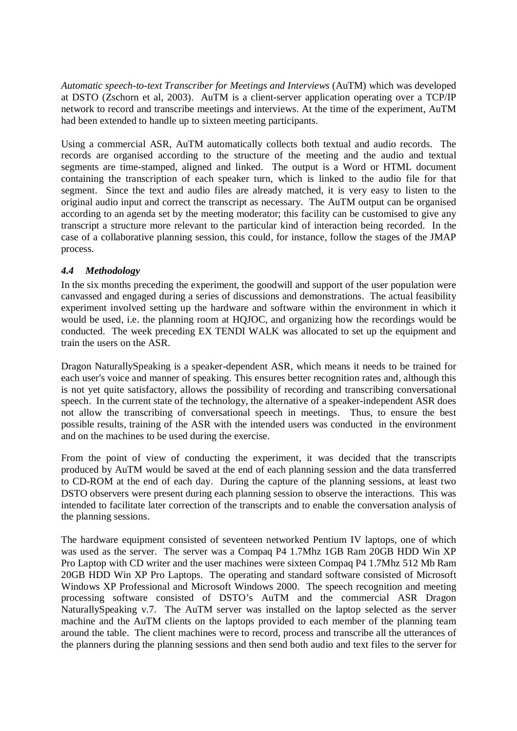*Automatic speech-to-text Transcriber for Meetings and Interviews* (AuTM) which was developed at DSTO (Zschorn et al, 2003). AuTM is a client-server application operating over a TCP/IP network to record and transcribe meetings and interviews. At the time of the experiment, AuTM had been extended to handle up to sixteen meeting participants.

Using a commercial ASR, AuTM automatically collects both textual and audio records. The records are organised according to the structure of the meeting and the audio and textual segments are time-stamped, aligned and linked. The output is a Word or HTML document containing the transcription of each speaker turn, which is linked to the audio file for that segment. Since the text and audio files are already matched, it is very easy to listen to the original audio input and correct the transcript as necessary. The AuTM output can be organised according to an agenda set by the meeting moderator; this facility can be customised to give any transcript a structure more relevant to the particular kind of interaction being recorded. In the case of a collaborative planning session, this could, for instance, follow the stages of the JMAP process.

# *4.4 Methodology*

In the six months preceding the experiment, the goodwill and support of the user population were canvassed and engaged during a series of discussions and demonstrations. The actual feasibility experiment involved setting up the hardware and software within the environment in which it would be used, i.e. the planning room at HQJOC, and organizing how the recordings would be conducted. The week preceding EX TENDI WALK was allocated to set up the equipment and train the users on the ASR.

Dragon NaturallySpeaking is a speaker-dependent ASR, which means it needs to be trained for each user's voice and manner of speaking. This ensures better recognition rates and, although this is not yet quite satisfactory, allows the possibility of recording and transcribing conversational speech. In the current state of the technology, the alternative of a speaker-independent ASR does not allow the transcribing of conversational speech in meetings. Thus, to ensure the best possible results, training of the ASR with the intended users was conducted in the environment and on the machines to be used during the exercise.

From the point of view of conducting the experiment, it was decided that the transcripts produced by AuTM would be saved at the end of each planning session and the data transferred to CD-ROM at the end of each day. During the capture of the planning sessions, at least two DSTO observers were present during each planning session to observe the interactions. This was intended to facilitate later correction of the transcripts and to enable the conversation analysis of the planning sessions.

The hardware equipment consisted of seventeen networked Pentium IV laptops, one of which was used as the server. The server was a Compaq P4 1.7Mhz 1GB Ram 20GB HDD Win XP Pro Laptop with CD writer and the user machines were sixteen Compaq P4 1.7Mhz 512 Mb Ram 20GB HDD Win XP Pro Laptops. The operating and standard software consisted of Microsoft Windows XP Professional and Microsoft Windows 2000. The speech recognition and meeting processing software consisted of DSTO's AuTM and the commercial ASR Dragon NaturallySpeaking v.7. The AuTM server was installed on the laptop selected as the server machine and the AuTM clients on the laptops provided to each member of the planning team around the table. The client machines were to record, process and transcribe all the utterances of the planners during the planning sessions and then send both audio and text files to the server for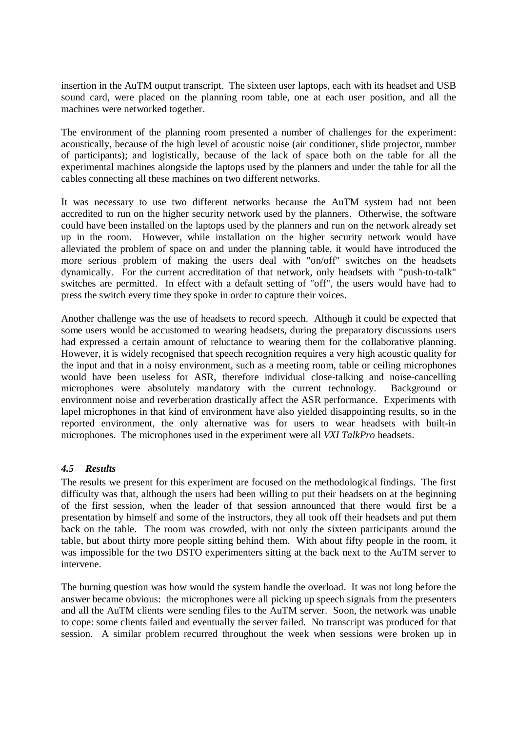insertion in the AuTM output transcript. The sixteen user laptops, each with its headset and USB sound card, were placed on the planning room table, one at each user position, and all the machines were networked together.

The environment of the planning room presented a number of challenges for the experiment: acoustically, because of the high level of acoustic noise (air conditioner, slide projector, number of participants); and logistically, because of the lack of space both on the table for all the experimental machines alongside the laptops used by the planners and under the table for all the cables connecting all these machines on two different networks.

It was necessary to use two different networks because the AuTM system had not been accredited to run on the higher security network used by the planners. Otherwise, the software could have been installed on the laptops used by the planners and run on the network already set up in the room. However, while installation on the higher security network would have alleviated the problem of space on and under the planning table, it would have introduced the more serious problem of making the users deal with "on/off" switches on the headsets dynamically. For the current accreditation of that network, only headsets with "push-to-talk" switches are permitted. In effect with a default setting of "off", the users would have had to press the switch every time they spoke in order to capture their voices.

Another challenge was the use of headsets to record speech. Although it could be expected that some users would be accustomed to wearing headsets, during the preparatory discussions users had expressed a certain amount of reluctance to wearing them for the collaborative planning. However, it is widely recognised that speech recognition requires a very high acoustic quality for the input and that in a noisy environment, such as a meeting room, table or ceiling microphones would have been useless for ASR, therefore individual close-talking and noise-cancelling microphones were absolutely mandatory with the current technology. Background or environment noise and reverberation drastically affect the ASR performance. Experiments with lapel microphones in that kind of environment have also yielded disappointing results, so in the reported environment, the only alternative was for users to wear headsets with built-in microphones. The microphones used in the experiment were all *VXI TalkPro* headsets.

#### *4.5 Results*

The results we present for this experiment are focused on the methodological findings. The first difficulty was that, although the users had been willing to put their headsets on at the beginning of the first session, when the leader of that session announced that there would first be a presentation by himself and some of the instructors, they all took off their headsets and put them back on the table. The room was crowded, with not only the sixteen participants around the table, but about thirty more people sitting behind them. With about fifty people in the room, it was impossible for the two DSTO experimenters sitting at the back next to the AuTM server to intervene.

The burning question was how would the system handle the overload. It was not long before the answer became obvious: the microphones were all picking up speech signals from the presenters and all the AuTM clients were sending files to the AuTM server. Soon, the network was unable to cope: some clients failed and eventually the server failed. No transcript was produced for that session. A similar problem recurred throughout the week when sessions were broken up in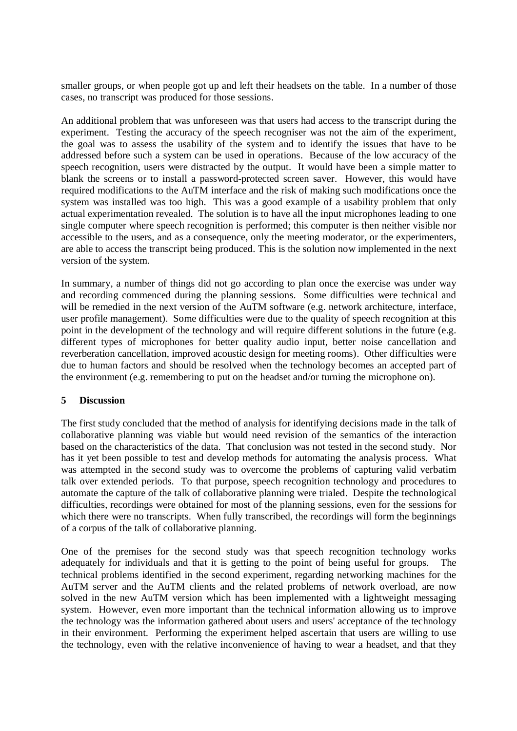smaller groups, or when people got up and left their headsets on the table. In a number of those cases, no transcript was produced for those sessions.

An additional problem that was unforeseen was that users had access to the transcript during the experiment. Testing the accuracy of the speech recogniser was not the aim of the experiment, the goal was to assess the usability of the system and to identify the issues that have to be addressed before such a system can be used in operations. Because of the low accuracy of the speech recognition, users were distracted by the output. It would have been a simple matter to blank the screens or to install a password-protected screen saver. However, this would have required modifications to the AuTM interface and the risk of making such modifications once the system was installed was too high. This was a good example of a usability problem that only actual experimentation revealed. The solution is to have all the input microphones leading to one single computer where speech recognition is performed; this computer is then neither visible nor accessible to the users, and as a consequence, only the meeting moderator, or the experimenters, are able to access the transcript being produced. This is the solution now implemented in the next version of the system.

In summary, a number of things did not go according to plan once the exercise was under way and recording commenced during the planning sessions. Some difficulties were technical and will be remedied in the next version of the AuTM software (e.g. network architecture, interface, user profile management). Some difficulties were due to the quality of speech recognition at this point in the development of the technology and will require different solutions in the future (e.g. different types of microphones for better quality audio input, better noise cancellation and reverberation cancellation, improved acoustic design for meeting rooms). Other difficulties were due to human factors and should be resolved when the technology becomes an accepted part of the environment (e.g. remembering to put on the headset and/or turning the microphone on).

#### **5 Discussion**

The first study concluded that the method of analysis for identifying decisions made in the talk of collaborative planning was viable but would need revision of the semantics of the interaction based on the characteristics of the data. That conclusion was not tested in the second study. Nor has it yet been possible to test and develop methods for automating the analysis process. What was attempted in the second study was to overcome the problems of capturing valid verbatim talk over extended periods. To that purpose, speech recognition technology and procedures to automate the capture of the talk of collaborative planning were trialed. Despite the technological difficulties, recordings were obtained for most of the planning sessions, even for the sessions for which there were no transcripts. When fully transcribed, the recordings will form the beginnings of a corpus of the talk of collaborative planning.

One of the premises for the second study was that speech recognition technology works adequately for individuals and that it is getting to the point of being useful for groups. The technical problems identified in the second experiment, regarding networking machines for the AuTM server and the AuTM clients and the related problems of network overload, are now solved in the new AuTM version which has been implemented with a lightweight messaging system. However, even more important than the technical information allowing us to improve the technology was the information gathered about users and users' acceptance of the technology in their environment. Performing the experiment helped ascertain that users are willing to use the technology, even with the relative inconvenience of having to wear a headset, and that they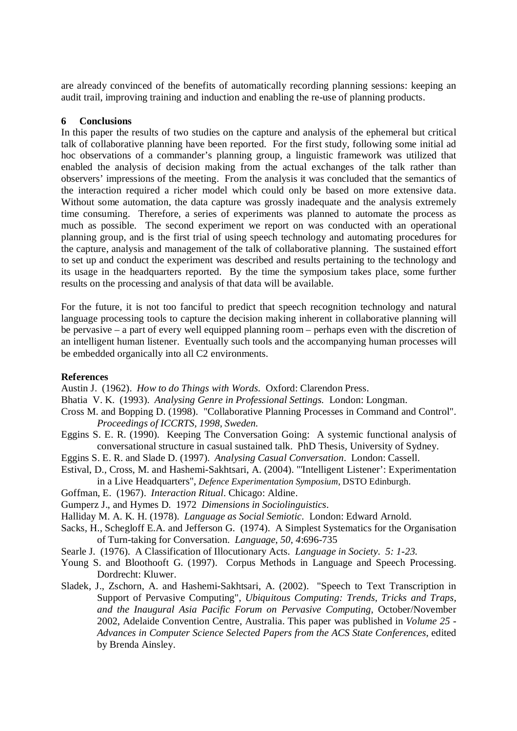are already convinced of the benefits of automatically recording planning sessions: keeping an audit trail, improving training and induction and enabling the re-use of planning products.

#### **6 Conclusions**

In this paper the results of two studies on the capture and analysis of the ephemeral but critical talk of collaborative planning have been reported. For the first study, following some initial ad hoc observations of a commander's planning group, a linguistic framework was utilized that enabled the analysis of decision making from the actual exchanges of the talk rather than observers' impressions of the meeting. From the analysis it was concluded that the semantics of the interaction required a richer model which could only be based on more extensive data. Without some automation, the data capture was grossly inadequate and the analysis extremely time consuming. Therefore, a series of experiments was planned to automate the process as much as possible. The second experiment we report on was conducted with an operational planning group, and is the first trial of using speech technology and automating procedures for the capture, analysis and management of the talk of collaborative planning. The sustained effort to set up and conduct the experiment was described and results pertaining to the technology and its usage in the headquarters reported. By the time the symposium takes place, some further results on the processing and analysis of that data will be available.

For the future, it is not too fanciful to predict that speech recognition technology and natural language processing tools to capture the decision making inherent in collaborative planning will be pervasive – a part of every well equipped planning room – perhaps even with the discretion of an intelligent human listener. Eventually such tools and the accompanying human processes will be embedded organically into all C2 environments.

#### **References**

Austin J. (1962). *How to do Things with Words.* Oxford: Clarendon Press.

- Bhatia V. K. (1993). *Analysing Genre in Professional Settings.* London: Longman.
- Cross M. and Bopping D. (1998). "Collaborative Planning Processes in Command and Control". *Proceedings of ICCRTS, 1998, Sweden.*
- Eggins S. E. R. (1990). Keeping The Conversation Going: A systemic functional analysis of conversational structure in casual sustained talk. PhD Thesis, University of Sydney.

Eggins S. E. R. and Slade D. (1997). *Analysing Casual Conversation*. London: Cassell.

- Estival, D., Cross, M. and Hashemi-Sakhtsari, A. (2004). "'Intelligent Listener': Experimentation in a Live Headquarters", *Defence Experimentation Symposium*, DSTO Edinburgh.
- Goffman, E. (1967). *Interaction Ritual*. Chicago: Aldine.

Gumperz J., and Hymes D. 1972 *Dimensions in Sociolinguistics*.

- Halliday M. A. K. H. (1978). *Language as Social Semiotic.* London: Edward Arnold.
- Sacks, H., Schegloff E.A. and Jefferson G. (1974). A Simplest Systematics for the Organisation of Turn-taking for Conversation. *Language*, *50, 4*:696-735
- Searle J. (1976). A Classification of Illocutionary Acts. *Language in Society. 5: 1-23.*
- Young S. and Bloothooft G. (1997). Corpus Methods in Language and Speech Processing. Dordrecht: Kluwer.
- Sladek, J., Zschorn, A. and Hashemi-Sakhtsari, A. (2002). "Speech to Text Transcription in Support of Pervasive Computing", *Ubiquitous Computing: Trends, Tricks and Traps, and the Inaugural Asia Pacific Forum on Pervasive Computing*, October/November 2002, Adelaide Convention Centre, Australia. This paper was published in *Volume 25 - Advances in Computer Science Selected Papers from the ACS State Conferences*, edited by Brenda Ainsley.